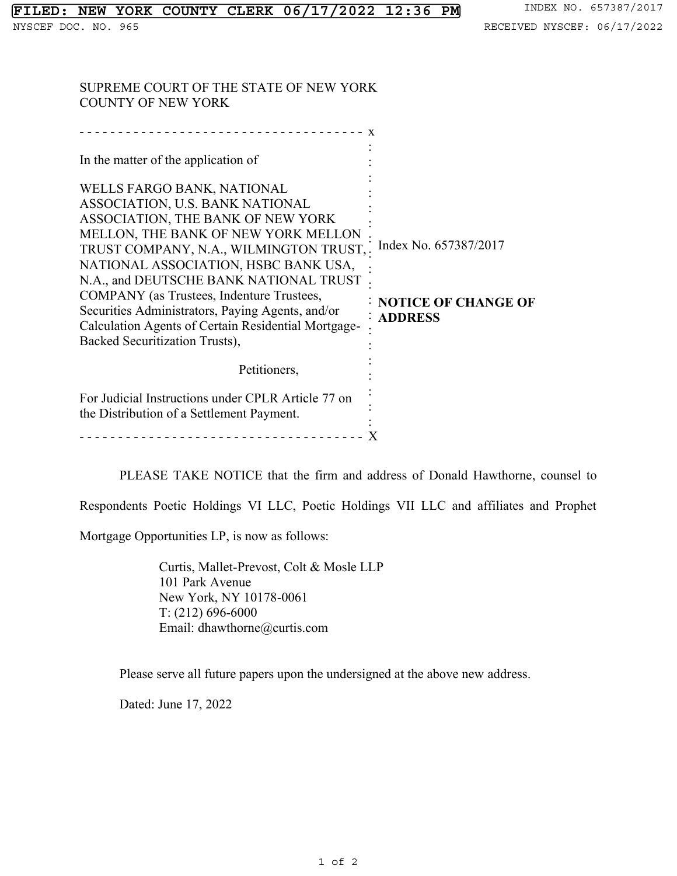SUPREME COURT OF THE STATE OF NEW YORK COUNTY OF NEW YORK

| Index No. 657387/2017<br>TRUST COMPANY, N.A., WILMINGTON TRUST,.<br><b>NOTICE OF CHANGE OF</b><br><b>: ADDRESS</b> |
|--------------------------------------------------------------------------------------------------------------------|
|                                                                                                                    |
|                                                                                                                    |
|                                                                                                                    |

PLEASE TAKE NOTICE that the firm and address of Donald Hawthorne, counsel to

Respondents Poetic Holdings VI LLC, Poetic Holdings VII LLC and affiliates and Prophet

Mortgage Opportunities LP, is now as follows:

Curtis, Mallet-Prevost, Colt & Mosle LLP 101 Park Avenue New York, NY 10178-0061 T: (212) 696-6000 Email: dhawthorne@curtis.com

Please serve all future papers upon the undersigned at the above new address.

Dated: June 17, 2022